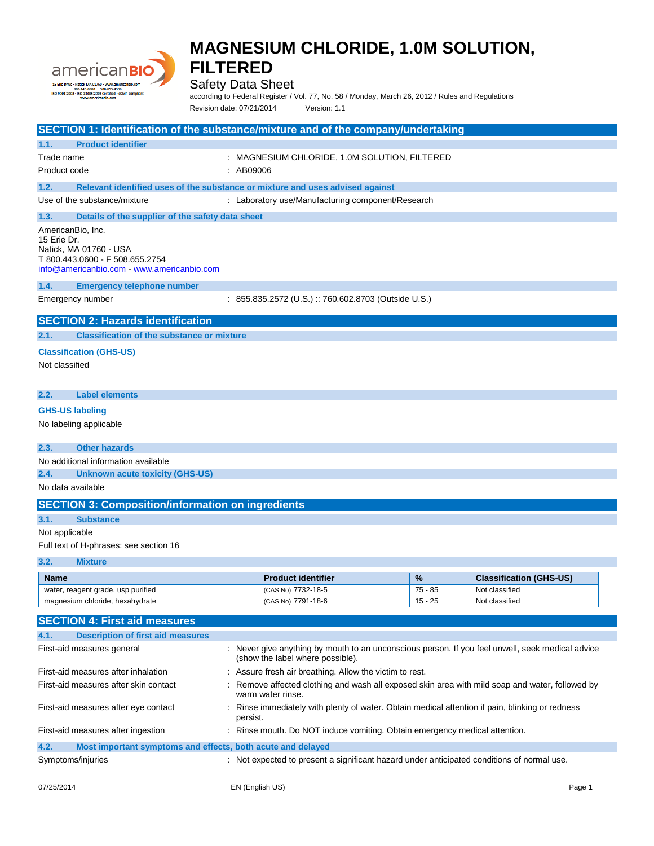

### Safety Data Sheet

according to Federal Register / Vol. 77, No. 58 / Monday, March 26, 2012 / Rules and Regulations Revision date: 07/21/2014 Version: 1.1

| SECTION 1: Identification of the substance/mixture and of the company/undertaking                                                           |                                                      |           |                                |  |
|---------------------------------------------------------------------------------------------------------------------------------------------|------------------------------------------------------|-----------|--------------------------------|--|
| <b>Product identifier</b><br>1.1.                                                                                                           |                                                      |           |                                |  |
| Trade name<br>: MAGNESIUM CHLORIDE, 1.0M SOLUTION, FILTERED<br>Product code<br>: AB09006                                                    |                                                      |           |                                |  |
| 1.2.<br>Relevant identified uses of the substance or mixture and uses advised against                                                       |                                                      |           |                                |  |
| Use of the substance/mixture                                                                                                                | : Laboratory use/Manufacturing component/Research    |           |                                |  |
| Details of the supplier of the safety data sheet<br>1.3.                                                                                    |                                                      |           |                                |  |
| AmericanBio, Inc.<br>15 Erie Dr.<br>Natick, MA 01760 - USA<br>T 800.443.0600 - F 508.655.2754<br>info@americanbio.com - www.americanbio.com |                                                      |           |                                |  |
| 1.4.<br><b>Emergency telephone number</b>                                                                                                   |                                                      |           |                                |  |
| Emergency number                                                                                                                            | : 855.835.2572 (U.S.) :: 760.602.8703 (Outside U.S.) |           |                                |  |
| <b>SECTION 2: Hazards identification</b>                                                                                                    |                                                      |           |                                |  |
| <b>Classification of the substance or mixture</b><br>2.1.                                                                                   |                                                      |           |                                |  |
| <b>Classification (GHS-US)</b>                                                                                                              |                                                      |           |                                |  |
| Not classified                                                                                                                              |                                                      |           |                                |  |
| 2.2.<br><b>Label elements</b>                                                                                                               |                                                      |           |                                |  |
| <b>GHS-US labeling</b>                                                                                                                      |                                                      |           |                                |  |
| No labeling applicable                                                                                                                      |                                                      |           |                                |  |
| <b>Other hazards</b><br>2.3.                                                                                                                |                                                      |           |                                |  |
| No additional information available                                                                                                         |                                                      |           |                                |  |
| 2.4.<br><b>Unknown acute toxicity (GHS-US)</b>                                                                                              |                                                      |           |                                |  |
| No data available                                                                                                                           |                                                      |           |                                |  |
| <b>SECTION 3: Composition/information on ingredients</b>                                                                                    |                                                      |           |                                |  |
| 3.1.<br><b>Substance</b>                                                                                                                    |                                                      |           |                                |  |
| Not applicable                                                                                                                              |                                                      |           |                                |  |
| Full text of H-phrases: see section 16                                                                                                      |                                                      |           |                                |  |
| 3.2.<br><b>Mixture</b>                                                                                                                      |                                                      |           |                                |  |
| <b>Name</b>                                                                                                                                 | <b>Product identifier</b>                            | %         | <b>Classification (GHS-US)</b> |  |
| water, reagent grade, usp purified                                                                                                          | (CAS No) 7732-18-5                                   | $75 - 85$ | Not classified                 |  |

| <b>SECTION 4: First aid measures</b>                                |                                                                                                                                      |
|---------------------------------------------------------------------|--------------------------------------------------------------------------------------------------------------------------------------|
| <b>Description of first aid measures</b><br>4.1.                    |                                                                                                                                      |
| First-aid measures general                                          | : Never give anything by mouth to an unconscious person. If you feel unwell, seek medical advice<br>(show the label where possible). |
| First-aid measures after inhalation                                 | : Assure fresh air breathing. Allow the victim to rest.                                                                              |
| First-aid measures after skin contact                               | : Remove affected clothing and wash all exposed skin area with mild soap and water, followed by<br>warm water rinse.                 |
| First-aid measures after eye contact                                | : Rinse immediately with plenty of water. Obtain medical attention if pain, blinking or redness<br>persist.                          |
| First-aid measures after ingestion                                  | : Rinse mouth. Do NOT induce vomiting. Obtain emergency medical attention.                                                           |
| 4.2.<br>Most important symptoms and effects, both acute and delayed |                                                                                                                                      |
| Symptoms/injuries                                                   | : Not expected to present a significant hazard under anticipated conditions of normal use.                                           |

magnesium chloride, hexahydrate (CAS No) 7791-18-6 15 - 25 Not classified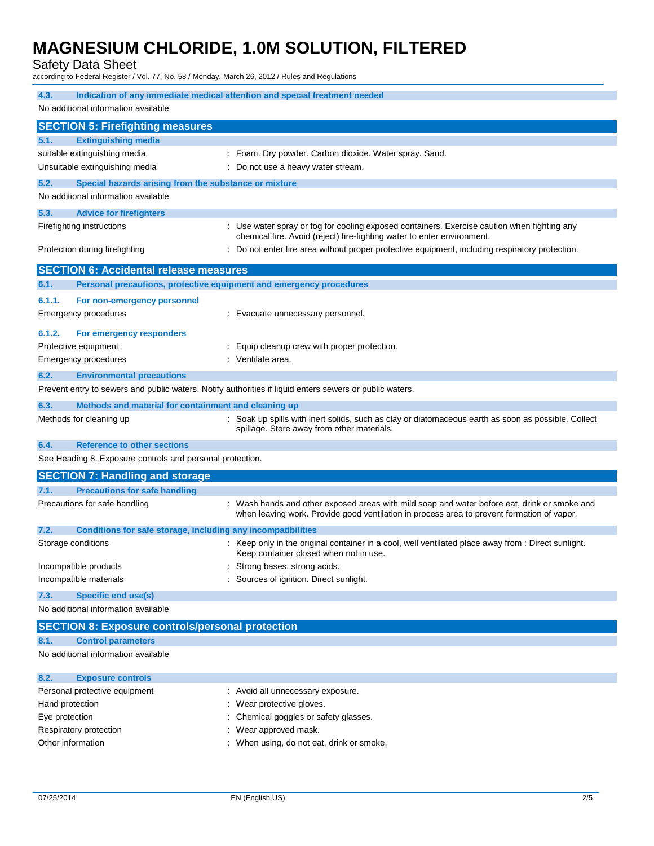Safety Data Sheet

according to Federal Register / Vol. 77, No. 58 / Monday, March 26, 2012 / Rules and Regulations

| Indication of any immediate medical attention and special treatment needed<br>4.3.                      |                                                                                                                                                                                            |  |  |
|---------------------------------------------------------------------------------------------------------|--------------------------------------------------------------------------------------------------------------------------------------------------------------------------------------------|--|--|
| No additional information available                                                                     |                                                                                                                                                                                            |  |  |
| <b>SECTION 5: Firefighting measures</b>                                                                 |                                                                                                                                                                                            |  |  |
| 5.1.<br><b>Extinguishing media</b>                                                                      |                                                                                                                                                                                            |  |  |
| suitable extinguishing media                                                                            | : Foam. Dry powder. Carbon dioxide. Water spray. Sand.                                                                                                                                     |  |  |
| Unsuitable extinguishing media                                                                          | : Do not use a heavy water stream.                                                                                                                                                         |  |  |
| 5.2.<br>Special hazards arising from the substance or mixture                                           |                                                                                                                                                                                            |  |  |
| No additional information available                                                                     |                                                                                                                                                                                            |  |  |
| 5.3.<br><b>Advice for firefighters</b>                                                                  |                                                                                                                                                                                            |  |  |
| Firefighting instructions                                                                               | : Use water spray or fog for cooling exposed containers. Exercise caution when fighting any<br>chemical fire. Avoid (reject) fire-fighting water to enter environment.                     |  |  |
| Protection during firefighting                                                                          | : Do not enter fire area without proper protective equipment, including respiratory protection.                                                                                            |  |  |
| <b>SECTION 6: Accidental release measures</b>                                                           |                                                                                                                                                                                            |  |  |
| Personal precautions, protective equipment and emergency procedures<br>6.1.                             |                                                                                                                                                                                            |  |  |
| 6.1.1.<br>For non-emergency personnel                                                                   |                                                                                                                                                                                            |  |  |
| <b>Emergency procedures</b>                                                                             | : Evacuate unnecessary personnel.                                                                                                                                                          |  |  |
| 6.1.2.<br>For emergency responders                                                                      |                                                                                                                                                                                            |  |  |
| Protective equipment                                                                                    | : Equip cleanup crew with proper protection.                                                                                                                                               |  |  |
| Emergency procedures                                                                                    | : Ventilate area.                                                                                                                                                                          |  |  |
| 6.2.<br><b>Environmental precautions</b>                                                                |                                                                                                                                                                                            |  |  |
| Prevent entry to sewers and public waters. Notify authorities if liquid enters sewers or public waters. |                                                                                                                                                                                            |  |  |
| 6.3.<br>Methods and material for containment and cleaning up                                            |                                                                                                                                                                                            |  |  |
| Methods for cleaning up                                                                                 | : Soak up spills with inert solids, such as clay or diatomaceous earth as soon as possible. Collect<br>spillage. Store away from other materials.                                          |  |  |
| 6.4.<br><b>Reference to other sections</b>                                                              |                                                                                                                                                                                            |  |  |
| See Heading 8. Exposure controls and personal protection.                                               |                                                                                                                                                                                            |  |  |
| <b>SECTION 7: Handling and storage</b>                                                                  |                                                                                                                                                                                            |  |  |
| <b>Precautions for safe handling</b><br>7.1.                                                            |                                                                                                                                                                                            |  |  |
| Precautions for safe handling                                                                           | : Wash hands and other exposed areas with mild soap and water before eat, drink or smoke and<br>when leaving work. Provide good ventilation in process area to prevent formation of vapor. |  |  |
| 7.2.<br>Conditions for safe storage, including any incompatibilities                                    |                                                                                                                                                                                            |  |  |
| Storage conditions                                                                                      | : Keep only in the original container in a cool, well ventilated place away from : Direct sunlight.<br>Keep container closed when not in use.                                              |  |  |
| Incompatible products                                                                                   | Strong bases. strong acids.                                                                                                                                                                |  |  |
| Incompatible materials                                                                                  | : Sources of ignition. Direct sunlight.                                                                                                                                                    |  |  |
| 7.3.<br><b>Specific end use(s)</b>                                                                      |                                                                                                                                                                                            |  |  |
| No additional information available                                                                     |                                                                                                                                                                                            |  |  |
| <b>SECTION 8: Exposure controls/personal protection</b>                                                 |                                                                                                                                                                                            |  |  |
| <b>Control parameters</b><br>8.1.                                                                       |                                                                                                                                                                                            |  |  |
| No additional information available                                                                     |                                                                                                                                                                                            |  |  |
| 8.2.<br><b>Exposure controls</b>                                                                        |                                                                                                                                                                                            |  |  |

| Personal protective equipment | : Avoid all unnecessary exposure.         |
|-------------------------------|-------------------------------------------|
| Hand protection               | : Wear protective gloves.                 |
| Eye protection                | : Chemical goggles or safety glasses.     |
| Respiratory protection        | : Wear approved mask.                     |
| Other information             | : When using, do not eat, drink or smoke. |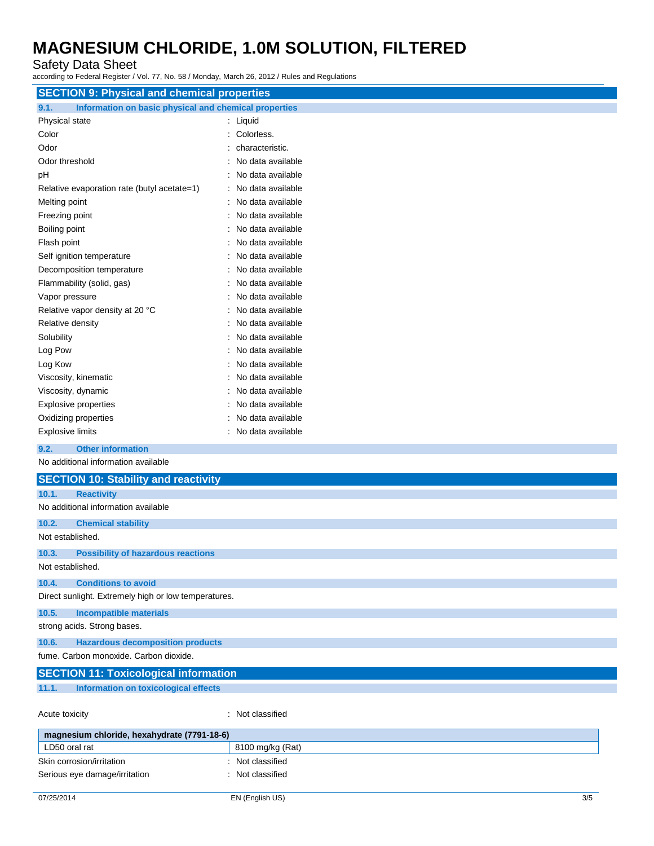### Safety Data Sheet

according to Federal Register / Vol. 77, No. 58 / Monday, March 26, 2012 / Rules and Regulations

| <b>SECTION 9: Physical and chemical properties</b>            |                     |  |  |  |
|---------------------------------------------------------------|---------------------|--|--|--|
| Information on basic physical and chemical properties<br>9.1. |                     |  |  |  |
| Physical state                                                | : Liquid            |  |  |  |
| Color                                                         | : Colorless.        |  |  |  |
| Odor                                                          | characteristic.     |  |  |  |
| Odor threshold                                                | No data available   |  |  |  |
| рH                                                            | No data available   |  |  |  |
| Relative evaporation rate (butyl acetate=1)                   | No data available   |  |  |  |
| Melting point                                                 | No data available   |  |  |  |
| Freezing point                                                | No data available   |  |  |  |
| Boiling point                                                 | No data available   |  |  |  |
| Flash point                                                   | No data available   |  |  |  |
| Self ignition temperature                                     | No data available   |  |  |  |
| Decomposition temperature                                     | No data available   |  |  |  |
| Flammability (solid, gas)                                     | No data available   |  |  |  |
| Vapor pressure                                                | No data available   |  |  |  |
| Relative vapor density at 20 °C                               | No data available   |  |  |  |
| Relative density                                              | No data available   |  |  |  |
| Solubility                                                    | : No data available |  |  |  |
| Log Pow                                                       | No data available   |  |  |  |
| Log Kow                                                       | No data available   |  |  |  |
| Viscosity, kinematic                                          | No data available   |  |  |  |
| Viscosity, dynamic                                            | No data available   |  |  |  |
| <b>Explosive properties</b>                                   | No data available   |  |  |  |
| Oxidizing properties                                          | No data available   |  |  |  |
| <b>Explosive limits</b>                                       | : No data available |  |  |  |
| <b>Other information</b><br>9.2.                              |                     |  |  |  |
| No additional information available                           |                     |  |  |  |
| <b>SECTION 10: Stability and reactivity</b>                   |                     |  |  |  |
| 10.1.<br><b>Reactivity</b>                                    |                     |  |  |  |
| No additional information available                           |                     |  |  |  |
| 10.2.<br><b>Chemical stability</b>                            |                     |  |  |  |

#### Not established.

#### **10.3. Possibility of hazardous reactions** Not established.

**10.4. Conditions to avoid**

Direct sunlight. Extremely high or low temperatures.

## **10.5. Incompatible materials**

strong acids. Strong bases.

### **10.6. Hazardous decomposition products**

fume. Carbon monoxide. Carbon dioxide.

|       | <b>SECTION 11: Toxicological information</b> |  |  |
|-------|----------------------------------------------|--|--|
| 11.1. | Information on toxicological effects         |  |  |
|       |                                              |  |  |

Acute toxicity in the contract of the contract of the classified in the classified in the contract of the contract of the contract of the contract of the contract of the contract of the contract of the contract of the cont

| magnesium chloride, hexahydrate (7791-18-6) |                  |
|---------------------------------------------|------------------|
| LD50 oral rat                               | 8100 mg/kg (Rat) |
| Skin corrosion/irritation                   | : Not classified |
| Serious eye damage/irritation               | Not classified   |
|                                             |                  |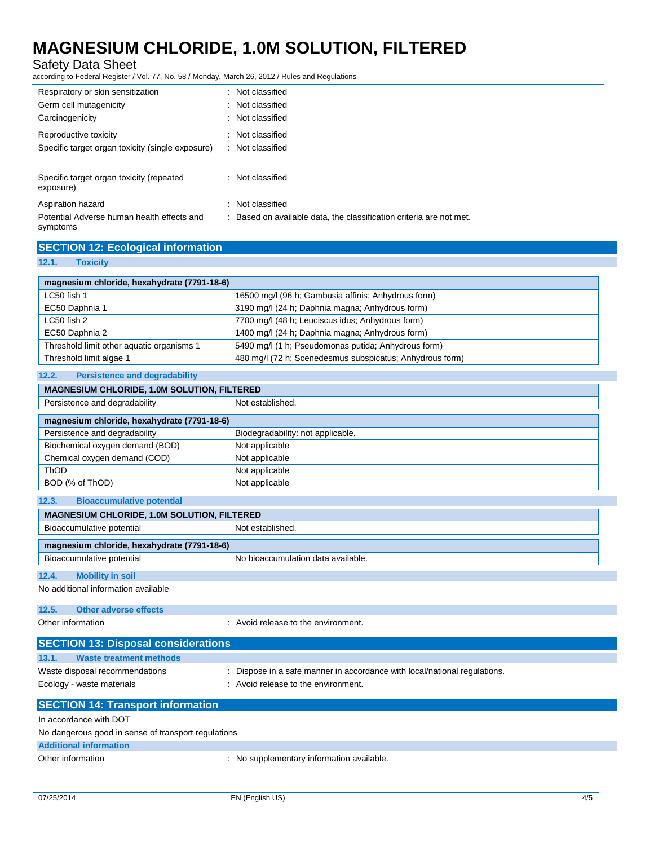Safety Data Sheet

according to Federal Register / Vol. 77, No. 58 / Monday, March 26, 2012 / Rules and Regulations

| Respiratory or skin sensitization<br>: Not classified                                                                         |  |
|-------------------------------------------------------------------------------------------------------------------------------|--|
|                                                                                                                               |  |
| Germ cell mutagenicity<br>: Not classified                                                                                    |  |
| : Not classified<br>Carcinogenicity                                                                                           |  |
| Reproductive toxicity<br>: Not classified                                                                                     |  |
| Specific target organ toxicity (single exposure)<br>: Not classified                                                          |  |
|                                                                                                                               |  |
| Specific target organ toxicity (repeated<br>: Not classified<br>exposure)                                                     |  |
|                                                                                                                               |  |
| Not classified<br>Aspiration hazard                                                                                           |  |
| Potential Adverse human health effects and<br>: Based on available data, the classification criteria are not met.<br>symptoms |  |

| <b>SECTION 12: Ecological information</b> |  |
|-------------------------------------------|--|
|-------------------------------------------|--|

#### **12.1. Toxicity**

| magnesium chloride, hexahydrate (7791-18-6)        |                                                                           |
|----------------------------------------------------|---------------------------------------------------------------------------|
| LC50 fish 1                                        | 16500 mg/l (96 h; Gambusia affinis; Anhydrous form)                       |
| EC50 Daphnia 1                                     | 3190 mg/l (24 h; Daphnia magna; Anhydrous form)                           |
| LC50 fish 2                                        | 7700 mg/l (48 h; Leuciscus idus; Anhydrous form)                          |
| EC50 Daphnia 2                                     | 1400 mg/l (24 h; Daphnia magna; Anhydrous form)                           |
| Threshold limit other aquatic organisms 1          | 5490 mg/l (1 h; Pseudomonas putida; Anhydrous form)                       |
| Threshold limit algae 1                            | 480 mg/l (72 h; Scenedesmus subspicatus; Anhydrous form)                  |
| 12.2.<br><b>Persistence and degradability</b>      |                                                                           |
| MAGNESIUM CHLORIDE, 1.0M SOLUTION, FILTERED        |                                                                           |
| Persistence and degradability                      | Not established.                                                          |
| magnesium chloride, hexahydrate (7791-18-6)        |                                                                           |
| Persistence and degradability                      | Biodegradability: not applicable.                                         |
| Biochemical oxygen demand (BOD)                    | Not applicable                                                            |
| Chemical oxygen demand (COD)                       | Not applicable                                                            |
| ThOD                                               | Not applicable                                                            |
| BOD (% of ThOD)                                    | Not applicable                                                            |
| <b>Bioaccumulative potential</b><br>12.3.          |                                                                           |
| <b>MAGNESIUM CHLORIDE, 1.0M SOLUTION, FILTERED</b> |                                                                           |
| Bioaccumulative potential                          | Not established.                                                          |
| magnesium chloride, hexahydrate (7791-18-6)        |                                                                           |
| Bioaccumulative potential                          | No bioaccumulation data available.                                        |
| <b>Mobility in soil</b><br>12.4.                   |                                                                           |
| No additional information available                |                                                                           |
| <b>Other adverse effects</b><br>12.5.              |                                                                           |
| Other information                                  | : Avoid release to the environment.                                       |
|                                                    |                                                                           |
| <b>SECTION 13: Disposal considerations</b>         |                                                                           |
| 13.1.<br><b>Waste treatment methods</b>            |                                                                           |
| Waste disposal recommendations                     | : Dispose in a safe manner in accordance with local/national regulations. |
| Ecology - waste materials                          | : Avoid release to the environment.                                       |
| <b>SECTION 14: Transport information</b>           |                                                                           |

In accordance with DOT

No dangerous good in sense of transport regulations

### **Additional information**

Other information  $\qquad \qquad : \qquad N$ o supplementary information available.